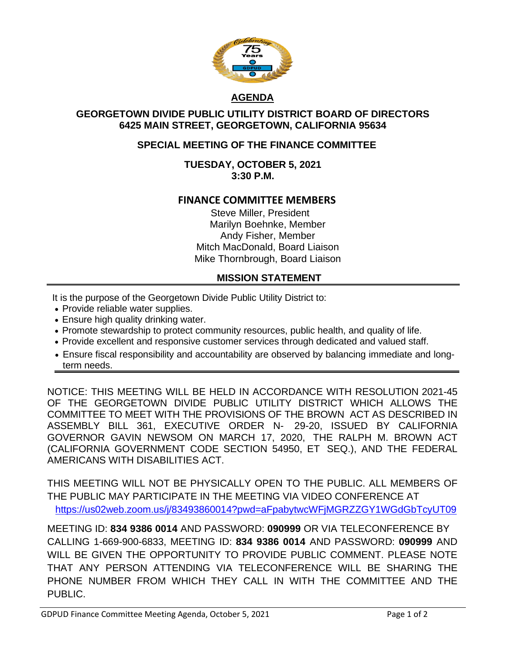

# **AGENDA**

### **GEORGETOWN DIVIDE PUBLIC UTILITY DISTRICT BOARD OF DIRECTORS 6425 MAIN STREET, GEORGETOWN, CALIFORNIA 95634**

## **SPECIAL MEETING OF THE FINANCE COMMITTEE**

### **TUESDAY, OCTOBER 5, 2021 3:30 P.M.**

## **FINANCE COMMITTEE MEMBERS**

Steve Miller, President Marilyn Boehnke, Member Andy Fisher, Member Mitch MacDonald, Board Liaison Mike Thornbrough, Board Liaison

### **MISSION STATEMENT**

It is the purpose of the Georgetown Divide Public Utility District to:

- Provide reliable water supplies.
- Ensure high quality drinking water.
- Promote stewardship to protect community resources, public health, and quality of life.
- Provide excellent and responsive customer services through dedicated and valued staff.
- Ensure fiscal responsibility and accountability are observed by balancing immediate and longterm needs.

NOTICE: THIS MEETING WILL BE HELD IN ACCORDANCE WITH RESOLUTION 2021-45 OF THE GEORGETOWN DIVIDE PUBLIC UTILITY DISTRICT WHICH ALLOWS THE COMMITTEE TO MEET WITH THE PROVISIONS OF THE BROWN ACT AS DESCRIBED IN ASSEMBLY BILL 361, EXECUTIVE ORDER N- 29-20, ISSUED BY CALIFORNIA GOVERNOR GAVIN NEWSOM ON MARCH 17, 2020, THE RALPH M. BROWN ACT (CALIFORNIA GOVERNMENT CODE SECTION 54950, ET SEQ.), AND THE FEDERAL AMERICANS WITH DISABILITIES ACT.

THIS MEETING WILL NOT BE PHYSICALLY OPEN TO THE PUBLIC. ALL MEMBERS OF THE PUBLIC MAY PARTICIPATE IN THE MEETING VIA VIDEO CONFERENCE AT <https://us02web.zoom.us/j/83493860014?pwd=aFpabytwcWFjMGRZZGY1WGdGbTcyUT09>

MEETING ID: **834 9386 0014** AND PASSWORD: **090999** OR VIA TELECONFERENCE BY CALLING 1-669-900-6833, MEETING ID: **834 9386 0014** AND PASSWORD: **090999** AND WILL BE GIVEN THE OPPORTUNITY TO PROVIDE PUBLIC COMMENT. PLEASE NOTE THAT ANY PERSON ATTENDING VIA TELECONFERENCE WILL BE SHARING THE PHONE NUMBER FROM WHICH THEY CALL IN WITH THE COMMITTEE AND THE PUBLIC.